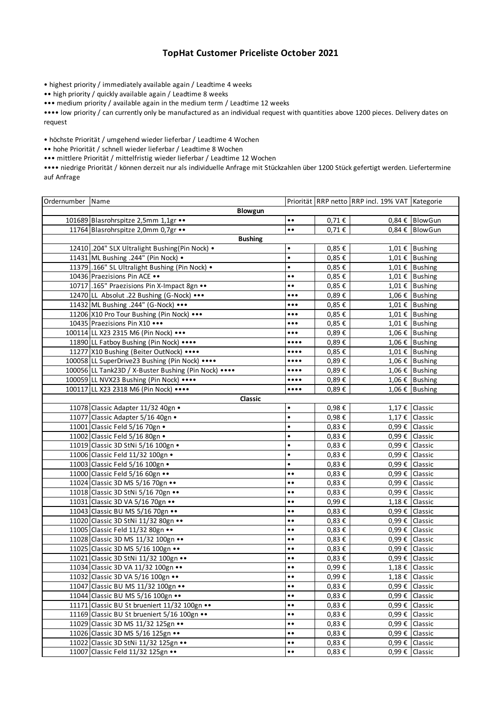## **TopHat Customer Priceliste October 2021**

• highest priority / immediately available again / Leadtime 4 weeks

•• high priority / quickly available again / Leadtime 8 weeks

••• medium priority / available again in the medium term / Leadtime 12 weeks

•••• low priority / can currently only be manufactured as an individual request with quantities above 1200 pieces. Delivery dates on request

• höchste Priorität / umgehend wieder lieferbar / Leadtime 4 Wochen

•• hohe Priorität / schnell wieder lieferbar / Leadtime 8 Wochen

••• mittlere Priorität / mittelfristig wieder lieferbar / Leadtime 12 Wochen

•••• niedrige Priorität / können derzeit nur als individuelle Anfrage mit Stückzahlen über 1200 Stück gefertigt werden. Liefertermine auf Anfrage

| Ordernumber Name |                                                      |                                |                     | Priorität RRP netto RRP incl. 19% VAT Kategorie |                             |
|------------------|------------------------------------------------------|--------------------------------|---------------------|-------------------------------------------------|-----------------------------|
| Blowgun          |                                                      |                                |                     |                                                 |                             |
|                  | 101689 Blasrohrspitze 2,5mm 1,1gr                    | $\bullet$<br>$\bullet$         | $0,71 \in$          |                                                 | 0,84 € BlowGun              |
|                  | 11764 Blasrohrspitze 2,0mm 0,7gr                     | $\bullet$                      | 0,71€               |                                                 | 0,84 € BlowGun              |
|                  | <b>Bushing</b>                                       |                                |                     |                                                 |                             |
|                  | 12410.204" SLX Ultralight Bushing(Pin Nock) .        | $\bullet$                      | 0,85€               |                                                 | 1,01 € Bushing              |
|                  | 11431 ML Bushing .244" (Pin Nock) .                  | $\bullet$                      | 0,85€               |                                                 | 1,01 € Bushing              |
|                  | 11379.166" SL Ultralight Bushing (Pin Nock) .        | $\bullet$                      | 0,85€               |                                                 | 1,01 € Bushing              |
|                  | 10436 Praezisions Pin ACE                            | $\bullet$<br>$\bullet$         | 0,85€               |                                                 | 1,01 € Bushing              |
|                  | 10717 .165" Praezisions Pin X-Impact 8gn             | $\bullet\bullet$               | 0,85€               |                                                 | 1,01 € Bushing              |
|                  | 12470 LL Absolut .22 Bushing (G-Nock) •••            | $\bullet\bullet\bullet$        | 0,89€               |                                                 | 1,06 € Bushing              |
|                  | 11432 ML Bushing .244" (G-Nock) •••                  | $\bullet\bullet\bullet$        | 0,85€               |                                                 | 1,01 € Bushing              |
|                  | 11206 X10 Pro Tour Bushing (Pin Nock)                | $\bullet\bullet\bullet$        | 0,85€               |                                                 | 1,01 € Bushing              |
|                  | 10435 Praezisions Pin X10                            | $\bullet\bullet\bullet$        | 0,85€               |                                                 | 1,01 € Bushing              |
|                  | 100114 LL X23 2315 M6 (Pin Nock) •••                 | $\bullet\bullet\bullet$        | 0,89€               |                                                 | 1,06 € Bushing              |
|                  | 11890 LL Fatboy Bushing (Pin Nock) ••••              | $\bullet\bullet\bullet\bullet$ | 0,89€               |                                                 | 1,06 € Bushing              |
|                  | 11277 X10 Bushing (Beiter OutNock) ••••              | $\bullet\bullet\bullet\bullet$ | 0,85€               |                                                 | $\overline{1,01}$ € Bushing |
|                  | 100058 LL SuperDrive23 Bushing (Pin Nock) ••••       | $\bullet\bullet\bullet\bullet$ | 0,89€               |                                                 | 1,06 € Bushing              |
|                  | 100056 LL Tank23D / X-Buster Bushing (Pin Nock) •••• | $\bullet\bullet\bullet\bullet$ | 0,89€               |                                                 | 1,06 € Bushing              |
|                  | 100059 LL NVX23 Bushing (Pin Nock) ••••              | $\bullet\bullet\bullet\bullet$ | 0,89€               |                                                 | 1,06 € Bushing              |
|                  | 100117 LL X23 2318 M6 (Pin Nock) ••••                | $\bullet\bullet\bullet\bullet$ | 0,89€               |                                                 | 1,06 € Bushing              |
|                  | Classic                                              |                                |                     |                                                 |                             |
|                  | 11078 Classic Adapter 11/32 40gn .                   | $\bullet$                      | 0,98€               |                                                 | 1,17 € Classic              |
|                  | 11077 Classic Adapter 5/16 40gn ·                    | $\bullet$                      | 0,98€               |                                                 | 1,17 € Classic              |
|                  | 11001 Classic Feld 5/16 70gn .                       | $\bullet$                      | 0,83€               |                                                 | 0,99 € Classic              |
|                  | 11002 Classic Feld 5/16 80gn .                       | $\bullet$                      | 0,83€               |                                                 | 0,99 € Classic              |
|                  | 11019 Classic 3D StNi 5/16 100gn .                   | $\bullet$                      | $0,83 \notin$       |                                                 | $0,99 \notin$ Classic       |
|                  | 11006 Classic Feld 11/32 100gn .                     | $\bullet$                      | $0,83 \in$          |                                                 | 0,99 € Classic              |
|                  | 11003 Classic Feld 5/16 100gn .                      | $\bullet$                      | $0,83 \in$          |                                                 | $0,99 \notin$ Classic       |
|                  | 11000 Classic Feld 5/16 60gn                         | $\bullet$                      | 0,83€               |                                                 | 0,99 € Classic              |
|                  | 11024 Classic 3D MS 5/16 70gn                        | $\bullet$                      | 0,83€               |                                                 | 0,99 € Classic              |
|                  | 11018 Classic 3D StNi 5/16 70gn                      | $\bullet$ $\bullet$            | $0,83 \notin$       |                                                 | 0,99 € Classic              |
|                  | 11031 Classic 3D VA 5/16 70gn                        | $\bullet$<br>$\bullet$         | 0,99€               |                                                 | 1,18 € Classic              |
|                  | 11043 Classic BU MS 5/16 70gn                        | $\bullet$<br>$\bullet$         | $0,83 \in$          |                                                 | 0,99 € Classic              |
|                  | 11020 Classic 3D StNi 11/32 80gn                     | $\bullet$<br>$\bullet$         | $0,83 \in$          |                                                 | 0,99 € Classic              |
|                  | 11005 Classic Feld 11/32 80gn                        | $\bullet$<br>$\bullet$         | $0,83 \in$          |                                                 | $0,99 \notin$ Classic       |
|                  | 11028 Classic 3D MS 11/32 100gn                      | $\bullet$                      | 0,83€               |                                                 | 0,99 € Classic              |
|                  | 11025 Classic 3D MS 5/16 100gn                       | $\bullet\bullet$               | 0,83€               |                                                 | 0,99 € Classic              |
|                  | 11021 Classic 3D StNi 11/32 100gn                    | $\bullet$                      | $0,83 \in$          |                                                 | $0,99 \notin$ Classic       |
|                  | 11034 Classic 3D VA 11/32 100gn                      | $\bullet$<br>$\bullet$         | 0,99€               |                                                 | 1,18 € Classic              |
|                  | 11032 Classic 3D VA 5/16 100gn                       | $\bullet\bullet$               | 0,99€               |                                                 | $1,18 \notin$ Classic       |
|                  | 11047 Classic BU MS 11/32 100gn                      | $\bullet$<br>$\bullet$         | 0,83 €              |                                                 | 0,99 € Classic              |
|                  | 11044 Classic BU MS 5/16 100gn                       | $\bullet$<br>$\bullet$         | $0,83 \notin$       |                                                 | $0,99 \in$ Classic          |
|                  | 11171 Classic BU St brueniert 11/32 100gn            | $\bullet\bullet$               | $0.83 \text{ } \in$ |                                                 | 0,99 € Classic              |
|                  | 11169 Classic BU St brueniert 5/16 100gn             | $\bullet$<br>$\bullet$         | $0,83 \in$          |                                                 | $0,99 \in$ Classic          |
|                  | 11029 Classic 3D MS 11/32 125gn                      | $\bullet$<br>$\bullet$         | 0,83 €              |                                                 | $0,99 \in$ Classic          |
|                  | 11026 Classic 3D MS 5/16 125gn                       | $\bullet$<br>$\bullet$         | 0,83 €              |                                                 | $0,99 \in$ Classic          |
|                  | 11022 Classic 3D StNi 11/32 125gn                    | $\bullet\bullet$               | 0,83 €              |                                                 | 0,99 € Classic              |
|                  | 11007 Classic Feld 11/32 125gn                       | $\bullet$<br>$\bullet$         | 0,83 €              | 0,99€                                           | Classic                     |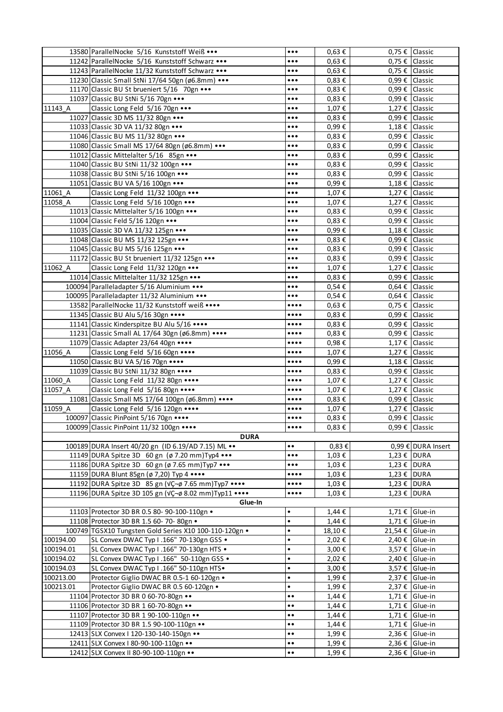|           | 13580 ParallelNocke 5/16 Kunststoff Weiß •••           | $\bullet\bullet\bullet$        | $0,63 \in$          | 0,75 € Classic  |                       |  |
|-----------|--------------------------------------------------------|--------------------------------|---------------------|-----------------|-----------------------|--|
|           | 11242 ParallelNocke 5/16 Kunststoff Schwarz •••        | $\bullet \bullet \bullet$      | $0,63 \in$          |                 | 0,75 € Classic        |  |
|           | 11243 ParallelNocke 11/32 Kunststoff Schwarz •••       | $\bullet\bullet\bullet$        | $0,63 \in$          |                 | 0,75 € Classic        |  |
|           | 11230 Classic Small StNi 17/64 50gn (ø6.8mm) •••       | $\bullet\bullet\bullet$        | $0,83 \in$          |                 | 0,99 € Classic        |  |
|           | 11170 Classic BU St brueniert 5/16 70gn                | $\bullet \bullet \bullet$      | $0,83 \in$          |                 | 0,99 € Classic        |  |
|           | 11037 Classic BU StNi 5/16 70gn                        | $\bullet\bullet\bullet$        | $0.83 \text{ } \in$ |                 | 0,99 € Classic        |  |
| 11143 A   | Classic Long Feld 5/16 70gn                            | $\bullet\bullet\bullet$        | 1,07€               |                 | 1,27 € Classic        |  |
|           | 11027 Classic 3D MS 11/32 80gn                         | $\bullet \bullet \bullet$      | $0,83 \notin$       |                 | 0,99 € Classic        |  |
|           | 11033 Classic 3D VA 11/32 80gn                         | $\bullet \bullet \bullet$      | 0,99€               |                 | 1,18 € Classic        |  |
|           | 11046 Classic BU MS 11/32 80gn                         | $\bullet\bullet\bullet$        | $0,83 \in$          |                 | 0,99 € Classic        |  |
|           | 11080 Classic Small MS 17/64 80gn (ø6.8mm)             | $\bullet\bullet\bullet$        | $0,83 \in$          |                 | 0,99 € Classic        |  |
|           | 11012 Classic Mittelalter 5/16 85gn                    | $\bullet \bullet \bullet$      | 0,83€               |                 | 0,99 € Classic        |  |
|           | 11040 Classic BU StNi 11/32 100gn                      | $\bullet\bullet\bullet$        | $0,83 \in$          |                 | 0,99 € Classic        |  |
|           | 11038 Classic BU StNi 5/16 100gn                       | $\bullet\bullet\bullet$        | $0,83 \in$          |                 | 0,99 € Classic        |  |
|           | 11051 Classic BU VA 5/16 100gn                         | $\bullet\bullet\bullet$        | 0,99€               |                 | 1,18 € Classic        |  |
|           |                                                        |                                |                     |                 |                       |  |
| 11061 A   | Classic Long Feld 11/32 100gn                          | $\bullet\bullet\bullet$        | 1,07€               |                 | 1,27 € Classic        |  |
| 11058 A   | Classic Long Feld 5/16 100gn                           | $\bullet\bullet\bullet$        | 1,07€               |                 | 1,27 € Classic        |  |
|           | 11013 Classic Mittelalter 5/16 100gn                   | $\bullet \bullet \bullet$      | $0,83 \in$          |                 | 0,99 € Classic        |  |
|           | 11004 Classic Feld 5/16 120gn                          | $\bullet\bullet\bullet$        | $0,83 \in$          |                 | $0,99 \in$ Classic    |  |
|           | 11035 Classic 3D VA 11/32 125gn                        | $\bullet\bullet\bullet$        | 0,99€               |                 | 1,18 € Classic        |  |
|           | 11048 Classic BU MS 11/32 125gn                        | $\bullet\bullet\bullet$        | $0,83 \in$          |                 | 0,99 € Classic        |  |
|           | 11045 Classic BU MS 5/16 125gn                         | $\bullet\bullet\bullet$        | 0,83€               |                 | 0,99 € Classic        |  |
|           | 11172 Classic BU St brueniert 11/32 125gn              | $\bullet\bullet\bullet$        | $0,83 \in$          |                 | 0,99 € Classic        |  |
| 11062 A   | Classic Long Feld 11/32 120gn                          | $\bullet\bullet\bullet$        | 1,07€               |                 | 1,27 € Classic        |  |
|           | 11014 Classic Mittelalter 11/32 125gn                  | $\bullet \bullet \bullet$      | $0,83 \in$          |                 | 0,99 € Classic        |  |
|           | 100094 Paralleladapter 5/16 Aluminium •••              | $\bullet \bullet \bullet$      | $0,54 \in$          |                 | $0,64 \in$ Classic    |  |
|           | 100095 Paralleladapter 11/32 Aluminium •••             | $\bullet\bullet\bullet$        | 0,54€               |                 | $0,64 \in$ Classic    |  |
|           | 13582 ParallelNocke 11/32 Kunststoff weiß ••••         | $\bullet\bullet\bullet\bullet$ | $0,63 \notin$       |                 | 0,75 € Classic        |  |
|           | 11345 Classic BU Alu 5/16 30gn                         | $\bullet\bullet\bullet\bullet$ | $0,83 \in$          |                 | 0,99 € Classic        |  |
|           | 11141 Classic Kinderspitze BU Alu 5/16 ••••            |                                | $0,83 \in$          |                 | 0,99 € Classic        |  |
|           | 11231 Classic Small AL 17/64 30gn (ø6.8mm) ••••        | $\bullet\bullet\bullet\bullet$ | $0,83 \in$          |                 | 0,99 € Classic        |  |
|           | 11079 Classic Adapter 23/64 40gn ••••                  | $\bullet\bullet\bullet\bullet$ | 0,98€               |                 | 1,17 € Classic        |  |
| 11056 A   | Classic Long Feld 5/16 60gn                            | $\bullet\bullet\bullet\bullet$ | 1,07€               |                 | 1,27 € Classic        |  |
|           | 11050 Classic BU VA 5/16 70gn                          | $\bullet\bullet\bullet\bullet$ | 0,99€               |                 | 1,18 € Classic        |  |
|           | 11039 Classic BU StNi 11/32 80gn ••••                  | $\bullet\bullet\bullet\bullet$ | 0,83€               |                 | 0,99 € Classic        |  |
| 11060 A   | Classic Long Feld 11/32 80gn                           | $\bullet\bullet\bullet\bullet$ | 1,07€               |                 | 1,27 € Classic        |  |
|           | Classic Long Feld 5/16 80gn                            |                                |                     |                 | 1,27 € Classic        |  |
| 11057 A   |                                                        | $\bullet\bullet\bullet\bullet$ | 1,07€               |                 |                       |  |
|           | 11081 Classic Small MS 17/64 100gn (ø6.8mm) ••••       | $\bullet\bullet\bullet\bullet$ | 0,83 $\epsilon$     |                 | 0,99 € Classic        |  |
| 11059 A   | Classic Long Feld 5/16 120gn                           | $\bullet\bullet\bullet\bullet$ | 1,07€               |                 | 1,27 € Classic        |  |
|           | 100097 Classic PinPoint 5/16 70gn •••••                | $\bullet\bullet\bullet\bullet$ | $0,83 \in$          | 0,99 € Classic  |                       |  |
|           | 100099 Classic PinPoint 11/32 100gn ••••               |                                | $0,83 \in$          | 0,99 € Classic  |                       |  |
|           | <b>DURA</b>                                            |                                |                     |                 |                       |  |
|           | 100189 DURA Insert 40/20 gn (ID 6.19/AD 7.15) ML       | $\bullet$<br>$\bullet$         | 0,83€               |                 | 0,99 € DURA Insert    |  |
|           | 11149 DURA Spitze 3D 60 gn (ø 7.20 mm) Typ4            | $\bullet\bullet\bullet$        | 1,03 €              | 1,23 € DURA     |                       |  |
|           | 11186 DURA Spitze 3D 60 gn (ø 7.65 mm)Typ7 •••         | $\bullet\bullet\bullet$        | 1,03 €              | 1,23 € DURA     |                       |  |
|           | 11159 DURA Blunt 85gn (ø 7,20) Typ 4 ••••              |                                | 1,03 €              | 1,23 € DURA     |                       |  |
|           | 11192 DURA Spitze 3D 85 gn (VÇ-ø 7.65 mm) Typ7 ••••    | $\bullet\bullet\bullet\bullet$ | $1,03 \in$          | 1,23 € DURA     |                       |  |
|           | 11196 DURA Spitze 3D 105 gn (VÇ-ø 8.02 mm)Typ11 ••••   | $\bullet\bullet\bullet\bullet$ | 1,03€               | 1,23 € DURA     |                       |  |
| Glue-In   |                                                        |                                |                     |                 |                       |  |
|           | 11103 Protector 3D BR 0.5 80- 90-100-110gn .           | $\bullet$                      | 1,44€               |                 | $1,71 \notin$ Glue-in |  |
|           | 11108 Protector 3D BR 1.5 60- 70- 80gn .               | $\bullet$                      | $1,44 \in$          |                 | $1,71 \notin$ Glue-in |  |
|           | 100749 TGSX10 Tungsten Gold Series X10 100-110-120gn . | $\bullet$                      | 18,10€              | 21,54 € Glue-in |                       |  |
| 100194.00 | SL Convex DWAC Typ I .166" 70-130gn GSS .              | $\bullet$                      | 2,02€               |                 | 2,40 € Glue-in        |  |
| 100194.01 | SL Convex DWAC Typ I .166" 70-130gn HTS .              | $\bullet$                      | 3,00€               |                 | 3,57 € Glue-in        |  |
| 100194.02 | SL Convex DWAC Typ I .166" 50-110gn GSS .              | $\bullet$                      | 2,02€               |                 | 2,40 € $ $ Glue-in    |  |
| 100194.03 | SL Convex DWAC Typ I .166" 50-110gn HTS.               | $\bullet$                      | 3,00€               |                 | 3,57 € Glue-in        |  |
| 100213.00 | Protector Giglio DWAC BR 0.5-1 60-120gn .              | $\bullet$                      | 1,99€               |                 | $2,37 \notin$ Glue-in |  |
| 100213.01 | Protector Giglio DWAC BR 0.5 60-120gn .                | $\bullet$                      | 1,99€               |                 | $2,37 \notin$ Glue-in |  |
|           | 11104 Protector 3D BR 0 60-70-80gn                     | $\bullet$<br>$\bullet$         | $1,44 \in$          |                 | $1,71 \notin$ Glue-in |  |
|           | 11106 Protector 3D BR 1 60-70-80gn                     | $\bullet$<br>$\bullet$         | $1,44 \in$          |                 | $1,71 \notin$ Glue-in |  |
|           | 11107 Protector 3D BR 1 90-100-110gn                   | $\bullet$<br>$\bullet$         | $1,44 \in$          |                 | $1,71 \notin$ Glue-in |  |
|           | 11109 Protector 3D BR 1.5 90-100-110gn                 | $\bullet$<br>$\bullet$         | $1,44 \in$          |                 | $1,71 \notin$ Glue-in |  |
|           | 12413 SLX Convex   120-130-140-150gn                   | $\bullet$ $\bullet$            | 1,99€               |                 | 2,36 € Glue-in        |  |
|           |                                                        | $\bullet\bullet$               |                     |                 |                       |  |
|           | 12411 SLX Convex   80-90-100-110gn                     |                                | 1,99€               |                 | 2,36 € Glue-in        |  |
|           | 12412 SLX Convex II 80-90-100-110gn                    | $\bullet$<br>$\bullet$         | 1,99€               | 2,36 €          | Glue-in               |  |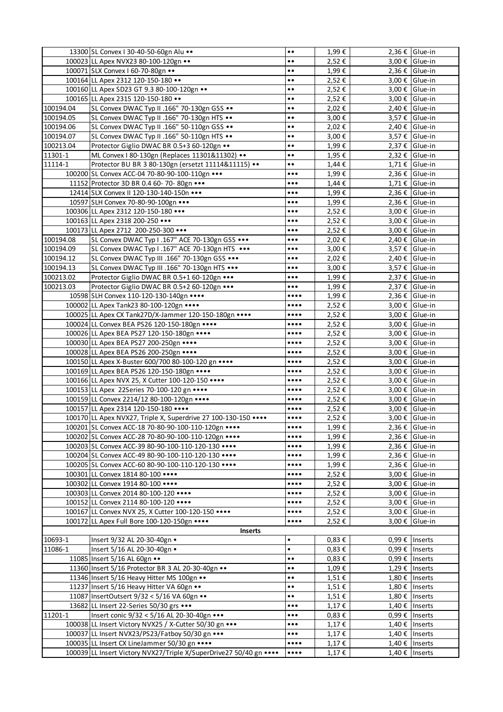|           | 13300 SL Convex I 30-40-50-60gn Alu                                                                       | $\bullet$                                                        | 1,99€          |                      | 2,36 € Glue-in                         |
|-----------|-----------------------------------------------------------------------------------------------------------|------------------------------------------------------------------|----------------|----------------------|----------------------------------------|
|           | 100023 LL Apex NVX23 80-100-120gn                                                                         | $\bullet$                                                        | 2,52€          |                      | 3,00 € Glue-in                         |
|           | 100071 SLX Convex I 60-70-80gn                                                                            | $\bullet \bullet$                                                | 1,99€          |                      | 2,36 € Glue-in                         |
|           | 100164 LL Apex 2312 120-150-180 ••                                                                        | $\bullet$                                                        | 2,52€          |                      | 3,00 € Glue-in                         |
|           | 100160 LL Apex SD23 GT 9.3 80-100-120gn                                                                   | $\bullet$                                                        | 2,52€          |                      | 3,00 € Glue-in                         |
|           | 100165 LL Apex 2315 120-150-180                                                                           | $\bullet$                                                        | 2,52€          |                      | 3,00 € Glue-in                         |
| 100194.04 | SL Convex DWAC Typ II .166" 70-130gn GSS                                                                  | $\bullet$                                                        | 2,02€          |                      | 2,40 € Glue-in                         |
| 100194.05 | SL Convex DWAC Typ II .166" 70-130gn HTS                                                                  | $\bullet$                                                        | 3,00€          |                      | 3,57 € Glue-in                         |
| 100194.06 | SL Convex DWAC Typ II .166" 50-110gn GSS                                                                  | $\bullet$                                                        | 2,02€          |                      | $2,40 \notin$ Glue-in                  |
| 100194.07 | SL Convex DWAC Typ II .166" 50-110gn HTS                                                                  | $\bullet$                                                        | 3,00€          |                      | 3,57 € Glue-in                         |
| 100213.04 | Protector Giglio DWAC BR 0.5+3 60-120gn                                                                   | $\bullet$                                                        | 1,99€          |                      | $2,37 \notin$ Glue-in                  |
| 11301-1   | ML Convex I 80-130gn (Replaces 11301&11302) ••                                                            | $\bullet$                                                        | 1,95€          |                      | 2,32 € Glue-in                         |
| 11114-1   | Protector BU BR 3 80-130gn (ersetzt 11114&11115) ••                                                       | $\bullet$                                                        | $1,44 \in$     |                      | $1,71 \notin$ Glue-in                  |
|           | 100200 SL Convex ACC-04 70-80-90-100-110gn                                                                | $\bullet\bullet\bullet$                                          | 1,99€          |                      | 2,36 € Glue-in                         |
|           | 11152 Protector 3D BR 0.4 60- 70- 80gn                                                                    | $\bullet\bullet\bullet$                                          | $1,44 \in$     |                      | $1,71 \notin$ Glue-in                  |
|           | 12414 SLX Convex II 120-130-140-150n                                                                      | $\bullet \bullet \bullet$                                        | 1,99€          |                      | 2,36 € Glue-in                         |
|           | 10597 SLH Convex 70-80-90-100gn •••                                                                       | $\bullet\bullet\bullet$                                          | 1,99€          |                      | 2,36 € Glue-in                         |
|           | 100306 LL Apex 2312 120-150-180 •••                                                                       | $\bullet\bullet\bullet$                                          | 2,52€          |                      | 3,00 € Glue-in                         |
|           | 100163 LL Apex 2318 200-250 •••                                                                           | $\bullet\bullet\bullet$                                          | 2,52€          |                      | 3,00 € Glue-in                         |
|           | 100173 LL Apex 2712 200-250-300                                                                           | $\bullet\bullet\bullet$                                          | 2,52€          |                      | 3,00 € Glue-in                         |
| 100194.08 | SL Convex DWAC Typ I .167" ACE 70-130gn GSS                                                               | $\bullet\bullet\bullet$                                          | 2,02€          |                      | $2,40 \in$ Glue-in                     |
| 100194.09 | SL Convex DWAC Typ I .167" ACE 70-130gn HTS                                                               | $\bullet\bullet\bullet$                                          | 3,00€          |                      | 3,57 € Glue-in                         |
| 100194.12 | SL Convex DWAC Typ III .166" 70-130gn GSS                                                                 | $\bullet\bullet\bullet$                                          | 2,02€          |                      | 2,40 € Glue-in                         |
| 100194.13 | SL Convex DWAC Typ III .166" 70-130gn HTS                                                                 | $\bullet\bullet\bullet$                                          | 3,00€          |                      | 3,57 € Glue-in                         |
| 100213.02 | Protector Giglio DWAC BR 0.5+1 60-120gn                                                                   | $\bullet \bullet \bullet$                                        | 1,99€          |                      | $2,37 \notin$ Glue-in                  |
| 100213.03 | Protector Giglio DWAC BR 0.5+2 60-120gn                                                                   | $\bullet \bullet \bullet$                                        | 1,99€          |                      | 2,37 € Glue-in                         |
|           | 10598 SLH Convex 110-120-130-140gn ••••                                                                   | $\bullet\bullet\bullet\bullet$                                   | 1,99€          |                      | 2,36 € Glue-in                         |
|           | 100002 LL Apex Tank23 80-100-120gn •••••                                                                  | $\bullet\bullet\bullet\bullet$                                   | 2,52€          |                      | 3,00 € Glue-in                         |
|           | 100025 LL Apex CX Tank27D/X-Jammer 120-150-180gn ••••                                                     | $\bullet\bullet\bullet\bullet$                                   | 2,52€          |                      | 3,00 € Glue-in                         |
|           | 100024 LL Convex BEA PS26 120-150-180gn •••••                                                             | $\bullet\bullet\bullet\bullet$                                   | 2,52€          |                      | 3,00 € Glue-in                         |
|           | 100026 LL Apex BEA PS27 120-150-180gn ••••                                                                | $\bullet\bullet\bullet\bullet$                                   | 2,52€          |                      | 3,00 € Glue-in                         |
|           | 100030 LL Apex BEA PS27 200-250gn •••••                                                                   | $\bullet\bullet\bullet\bullet$                                   | 2,52€          |                      | 3,00 € Glue-in                         |
|           | 100028 LL Apex BEA PS26 200-250gn •••••                                                                   | $\bullet\bullet\bullet\bullet$                                   | 2,52€          |                      | $3,00 \notin$  Glue-in                 |
|           | 100150 LL Apex X-Buster 600/700 80-100-120 gn ••••                                                        | $\bullet\bullet\bullet\bullet$                                   | 2,52€          |                      | 3,00 € Glue-in                         |
|           | 100169 LL Apex BEA PS26 120-150-180gn ••••                                                                | $\bullet\bullet\bullet\bullet$                                   | 2,52€          |                      | 3,00 € Glue-in                         |
|           | 100166 LL Apex NVX 25, X Cutter 100-120-150 ••••                                                          | $\bullet\bullet\bullet\bullet$                                   | 2,52€          |                      | 3,00 € Glue-in                         |
|           | 100153 LL Apex 22Series 70-100-120 gn                                                                     | $\bullet\bullet\bullet\bullet$                                   | 2,52€          |                      | 3,00 € Glue-in                         |
|           | 100159 LL Convex 2214/12 80-100-120gn ••••                                                                | $\overline{\cdots}$                                              | 2,52€          |                      | 3,00 € $ $ Glue-in                     |
|           | 100157 LL Apex 2314 120-150-180 ••••                                                                      | $\bullet\bullet\bullet\bullet$                                   | 2,52€          |                      | 3,00 € Glue-in                         |
|           | 100170 LL Apex NVX27, Triple X, Superdrive 27 100-130-150 ••••                                            | $\bullet\bullet\bullet\bullet$                                   | 2,52€          |                      | 3,00 € Glue-in                         |
|           | 100201 SL Convex ACC-18 70-80-90-100-110-120gn ****                                                       |                                                                  | 1,99€          |                      | 2,36 € Glue-in                         |
|           | 100202 SL Convex ACC-28 70-80-90-100-110-120gn •••••                                                      | $\bullet\bullet\bullet\bullet$                                   | 1,99€          |                      | 2,36 € Glue-in                         |
|           | 100203 SL Convex ACC-39 80-90-100-110-120-130 •••••                                                       | $\bullet\bullet\bullet\bullet$                                   | 1,99€          |                      | 2,36 € Glue-in                         |
|           | 100204 SL Convex ACC-49 80-90-100-110-120-130 •••••<br>100205 SL Convex ACC-60 80-90-100-110-120-130 •••• | $\bullet\bullet\bullet\bullet$<br>$\bullet\bullet\bullet\bullet$ | 1,99€          |                      | $2,36 \t\in$ Glue-in                   |
|           | 100301 LL Convex 1814 80-100 ••••                                                                         | $\bullet\bullet\bullet\bullet$                                   | 1,99€<br>2,52€ |                      | $2,36 \t\in$ Glue-in<br>3,00 € Glue-in |
|           | 100302 LL Convex 1914 80-100 ••••                                                                         | $\bullet\bullet\bullet\bullet$                                   | 2,52€          |                      | 3,00 € Glue-in                         |
|           | 100303 LL Convex 2014 80-100-120 ••••                                                                     | $\bullet\bullet\bullet\bullet$                                   | 2,52€          |                      | 3,00 € Glue-in                         |
|           | 100152 LL Convex 2114 80-100-120 ••••                                                                     | $\bullet\bullet\bullet\bullet$                                   | 2,52€          |                      | 3,00 € Glue-in                         |
|           | 100167 LL Convex NVX 25, X Cutter 100-120-150 •••••                                                       | $\bullet\bullet\bullet\bullet$                                   | 2,52€          |                      | 3,00 € Glue-in                         |
|           | 100172 LL Apex Full Bore 100-120-150gn ••••                                                               | $\bullet\bullet\bullet\bullet$                                   | 2,52€          |                      | 3.00 € $I$ Glue-in                     |
|           | <b>Inserts</b>                                                                                            |                                                                  |                |                      |                                        |
| 10693-1   | Insert 9/32 AL 20-30-40gn .                                                                               | $\bullet$                                                        | $0,83 \in$     | 0,99 €   Inserts     |                                        |
| 11086-1   | Insert 5/16 AL 20-30-40gn .                                                                               | $\bullet$                                                        | $0,83 \in$     | 0,99 € Inserts       |                                        |
|           | 11085 Insert 5/16 AL 60gn                                                                                 | $\bullet$                                                        | $0,83 \in$     | 0,99 €   Inserts     |                                        |
|           | 11360 Insert 5/16 Protector BR 3 AL 20-30-40gn                                                            | $\bullet$                                                        | 1,09€          | 1,29 €   Inserts     |                                        |
|           | 11346 Insert 5/16 Heavy Hitter MS 100gn                                                                   | $\bullet$                                                        | 1,51€          | 1,80 €   Inserts     |                                        |
|           | 11237 Insert 5/16 Heavy Hitter VA 60gn                                                                    | $\bullet$                                                        | 1,51€          | 1,80 € Inserts       |                                        |
|           | 11087   InsertOutsert 9/32 < 5/16 VA 60gn                                                                 | $\bullet$<br>$\bullet$                                           | 1,51€          | 1,80 € Inserts       |                                        |
|           | 13682 LL Insert 22-Series 50/30 grs •••                                                                   | $\bullet \bullet \bullet$                                        | 1,17€          | $1,40 \in$   Inserts |                                        |
| 11201-1   | Insert conic 9/32 < 5/16 AL 20-30-40gn •••                                                                | $\bullet\bullet\bullet$                                          | $0,83 \in$     | 0,99 €   Inserts     |                                        |
|           | 100038 LL Insert Victory NVX25 / X-Cutter 50/30 gn                                                        | $\bullet\bullet\bullet$                                          | 1,17€          | 1,40 € Inserts       |                                        |
|           | 100037 LL Insert NVX23/PS23/Fatboy 50/30 gn                                                               | $\bullet \bullet \bullet$                                        | 1,17€          | 1,40 €   Inserts     |                                        |
|           | 100035 LL Insert CX LineJammer 50/30 gn ••••                                                              | $\bullet\bullet\bullet\bullet$                                   | 1,17€          | 1,40 € Inserts       |                                        |
|           | 100039 LL Insert Victory NVX27/Triple X/SuperDrive27 50/40 gn                                             | $\bullet\bullet\bullet\bullet$                                   | 1,17€          | 1,40 €   Inserts     |                                        |
|           |                                                                                                           |                                                                  |                |                      |                                        |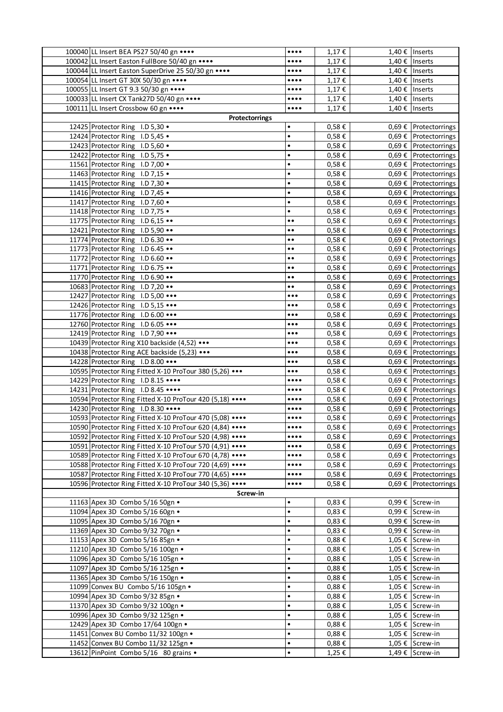| 100040 LL Insert BEA PS27 50/40 gn ••••                   | $\bullet\bullet\bullet\bullet$                     | 1,17€               | 1,40 €   Inserts     |                                                         |
|-----------------------------------------------------------|----------------------------------------------------|---------------------|----------------------|---------------------------------------------------------|
| 100042 LL Insert Easton FullBore 50/40 gn                 | $\bullet\bullet\bullet\bullet$                     | 1,17€               | 1,40 €   Inserts     |                                                         |
| 100044 LL Insert Easton SuperDrive 25 50/30 gn            | $\bullet\bullet\bullet\bullet$                     | 1,17€               | 1,40 €   Inserts     |                                                         |
| 100054 LL Insert GT 30X 50/30 gn ••••                     | $\bullet\bullet\bullet\bullet$                     | 1,17€               | 1,40 € Inserts       |                                                         |
| 100055 LL Insert GT 9.3 50/30 gn                          | $\bullet\bullet\bullet\bullet$                     | 1,17€               | 1,40 €   Inserts     |                                                         |
| 100033 LL Insert CX Tank27D 50/40 gn                      | $\bullet\bullet\bullet\bullet$                     | 1,17€               | $1,40 \in$   Inserts |                                                         |
| 100111 LL Insert Crossbow 60 gn                           | $\bullet\bullet\bullet\bullet$                     | 1,17€               | 1,40 € Inserts       |                                                         |
| Protectorrings                                            |                                                    |                     |                      |                                                         |
| 12425 Protector Ring I.D 5,30 .                           | $\bullet$                                          | $0,58 \in$          |                      | 0,69 € Protectorrings                                   |
| 12424 Protector Ring I.D 5,45 .                           | $\bullet$                                          | 0,58€               |                      | 0,69 € Protectorrings                                   |
| 12423 Protector Ring I.D 5,60 .                           | $\bullet$                                          | 0,58€               |                      | 0,69 € Protectorrings                                   |
| 12422 Protector Ring I.D 5,75 .                           | $\bullet$                                          | 0,58€               |                      | $0,69 \notin$   Protectorrings                          |
| 11561 Protector Ring I.D 7,00 .                           | $\bullet$                                          | $0,58 \in$          |                      | 0,69 € Protectorrings                                   |
| 11463 Protector Ring I.D 7,15 .                           | $\bullet$                                          | 0,58€               |                      | 0,69 € Protectorrings                                   |
| 11415 Protector Ring I.D 7,30 .                           | $\bullet$                                          | 0,58€               |                      | 0,69 € Protectorrings                                   |
| 11416 Protector Ring I.D 7,45 .                           | $\bullet$                                          | 0,58€               |                      | 0,69 € Protectorrings                                   |
| 11417 Protector Ring I.D 7,60 .                           | $\bullet$                                          | 0,58€               |                      | 0,69 € Protectorrings                                   |
| 11418 Protector Ring I.D 7,75 .                           | $\bullet$                                          | 0,58€               |                      | $0,69 \notin$ Protectorrings                            |
| 11775 Protector Ring I.D 6,15                             | $\bullet$                                          | 0,58€               |                      | 0,69 € Protectorrings                                   |
| 12421 Protector Ring I.D 5,90                             | $\bullet\bullet$                                   | 0,58€               |                      | 0,69 € Protectorrings                                   |
| 11774 Protector Ring I.D 6.30                             | $\bullet$<br>$\bullet$                             | 0,58€               |                      | 0,69 € Protectorrings                                   |
| 11773 Protector Ring I.D 6.45                             | $\bullet$<br>$\bullet$                             | 0,58€               |                      | $0,69 \notin$ Protectorrings                            |
| 11772 Protector Ring I.D 6.60                             | $\bullet$<br>$\bullet$                             | $0,58 \in$          |                      | 0,69 € Protectorrings                                   |
| 11771 Protector Ring I.D 6.75                             | $\bullet$                                          | 0,58€               |                      | 0,69 € Protectorrings                                   |
| 11770 Protector Ring I.D 6.90                             | $\bullet$<br>$\bullet$                             | 0,58€               |                      | $0,69 \in$ Protectorrings                               |
| 10683 Protector Ring I.D 7,20                             | $\bullet\bullet$                                   | 0,58€               |                      |                                                         |
|                                                           |                                                    |                     |                      | $0,69 \notin$   Protectorrings                          |
| 12427 Protector Ring I.D 5,00                             | $\bullet\bullet\bullet$                            | $0,58 \in$          |                      | $0,69 \notin$ Protectorrings                            |
| 12426 Protector Ring I.D 5,15                             | $\bullet\bullet\bullet$                            | 0,58€               |                      | 0,69 € Protectorrings                                   |
| 11776 Protector Ring I.D 6.00                             | $\bullet\bullet\bullet$<br>$\bullet\bullet\bullet$ | 0,58€<br>0,58€      |                      | $0,69 \notin$   Protectorrings<br>0,69 € Protectorrings |
| 12760 Protector Ring I.D 6.05                             |                                                    |                     |                      | 0,69 € Protectorrings                                   |
| 12419 Protector Ring I.D 7,90                             | $\bullet\bullet\bullet$                            | 0,58€               |                      |                                                         |
| 10439 Protector Ring X10 backside (4,52)                  | $\bullet\bullet\bullet$                            | 0,58€               |                      | 0,69 € Protectorrings                                   |
| 10438 Protector Ring ACE backside (5,23) •••              | $\bullet\bullet\bullet$                            | 0,58€               |                      | $0,69 \notin$   Protectorrings                          |
| 14228 Protector Ring I.D 8.00                             | $\bullet\bullet\bullet$                            | 0,58€               |                      | 0,69 € Protectorrings                                   |
| 10595 Protector Ring Fitted X-10 ProTour 380 (5,26) •••   | $\bullet\bullet\bullet$                            | 0,58€               |                      | 0,69 € Protectorrings                                   |
| 14229 Protector Ring I.D 8.15                             | $\bullet\bullet\bullet\bullet$                     | 0,58€               |                      | $0,69 \in$ Protectorrings                               |
| 14231 Protector Ring I.D 8.45                             | $\bullet\bullet\bullet\bullet$                     | 0,58€               |                      | 0,69 € Protectorrings                                   |
| 10594 Protector Ring Fitted X-10 ProTour 420 (5,18)       | $\bullet\bullet\bullet\bullet$                     | $0,58 \in$          |                      | $0,69 \notin$ Protectorrings                            |
| 14230 Protector Ring I.D 8.30                             | $\bullet\bullet\bullet\bullet$                     | 0,58€               |                      | 0,69 € Protectorrings                                   |
| 10593 Protector Ring Fitted X-10 ProTour 470 (5,08)       | $\bullet\bullet\bullet\bullet$                     | 0,58€               |                      | $0.69 \in$   Protectorrings                             |
| 10590 Protector Ring Fitted X-10 ProTour 620 (4,84) ••••  |                                                    | 0,58€               |                      | 0,69 € Protectorrings                                   |
| 10592 Protector Ring Fitted X-10 ProTour 520 (4,98) ••••  | $\bullet\bullet\bullet\bullet$                     | $0,58 \in$          |                      | $0,69 \notin$ Protectorrings                            |
| 10591 Protector Ring Fitted X-10 ProTour 570 (4,91) ••••  | $\bullet\bullet\bullet\bullet$                     | $0,58 \in$          |                      | $0,69 \in$ Protectorrings                               |
| 10589 Protector Ring Fitted X-10 ProTour 670 (4,78) ••••  | $\bullet\bullet\bullet\bullet$                     | 0,58€               |                      | $0.69 \notin$ Protectorrings                            |
| 10588 Protector Ring Fitted X-10 ProTour 720 (4,69)       | $\bullet\bullet\bullet\bullet$                     | 0,58€               |                      | $0.69 \in$   Protectorrings                             |
| 10587 Protector Ring Fitted X-10 ProTour 770 (4,65) ••••• | $\bullet\bullet\bullet\bullet$                     | 0,58€               |                      | $0.69 \in$   Protectorrings                             |
| 10596 Protector Ring Fitted X-10 ProTour 340 (5,36)       | $\bullet\bullet\bullet\bullet$                     | 0,58€               |                      | $0.69 \in$   Protectorrings                             |
| Screw-in                                                  |                                                    |                     |                      |                                                         |
| 11163 Apex 3D Combo 5/16 50gn .                           | $\bullet$                                          | $0,83 \in$          |                      | 0,99 € Screw-in                                         |
| 11094 Apex 3D Combo 5/16 60gn .                           | $\bullet$                                          | $0.83 \text{ } \in$ |                      | 0,99 € Screw-in                                         |
| 11095 Apex 3D Combo 5/16 70gn .                           | $\bullet$                                          | $0,83 \in$          |                      | 0,99 € Screw-in                                         |
| 11369 Apex 3D Combo 9/32 70gn .                           | $\bullet$                                          | $0,83 \in$          |                      | 0,99 € Screw-in                                         |
| 11153 Apex 3D Combo 5/16 85gn .                           | $\bullet$                                          | $0,88 \in$          |                      | 1,05 € Screw-in                                         |
| 11210 Apex 3D Combo 5/16 100gn .                          | $\bullet$                                          | 0,88€               |                      | 1,05 € Screw-in                                         |
| 11096 Apex 3D Combo 5/16 105gn .                          | $\bullet$                                          | $0,88 \in$          |                      | 1,05 € Screw-in                                         |
| 11097 Apex 3D Combo 5/16 125gn .                          | $\bullet$                                          | $0,88 \in$          |                      | 1,05 € Screw-in                                         |
| 11365 Apex 3D Combo 5/16 150gn .                          | $\bullet$                                          | $0,88 \in$          |                      | 1,05 € Screw-in                                         |
| 11099 Convex BU Combo 5/16 105gn .                        | $\bullet$                                          | $0,88 \in$          |                      | 1,05 € Screw-in                                         |
| 10994 Apex 3D Combo 9/32 85gn .                           | $\bullet$                                          | 0,88€               |                      | 1,05 € Screw-in                                         |
| 11370 Apex 3D Combo 9/32 100gn .                          | $\bullet$                                          | $0,88 \in$          |                      | 1,05 € Screw-in                                         |
| 10996 Apex 3D Combo 9/32 125gn .                          | $\bullet$                                          | 0,88€               |                      | 1,05 € Screw-in                                         |
| 12429 Apex 3D Combo 17/64 100gn .                         | $\bullet$                                          | $0,88 \in$          |                      | 1,05 € Screw-in                                         |
| 11451 Convex BU Combo 11/32 100gn .                       | $\bullet$                                          | $0,88 \in$          |                      | 1,05 € Screw-in                                         |
| 11452 Convex BU Combo 11/32 125gn .                       | $\bullet$                                          | $0,88 \in$          |                      | 1,05 € Screw-in                                         |
| 13612 PinPoint Combo 5/16 80 grains .                     | $\bullet$                                          | 1,25€               |                      | 1,49 € Screw-in                                         |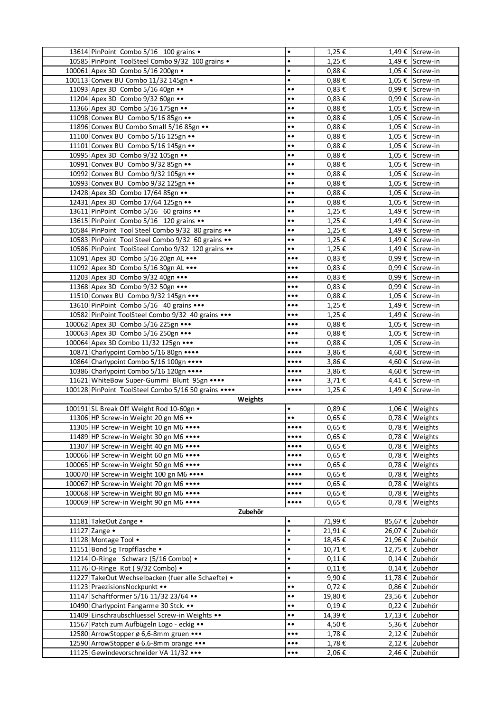|                                                                                                           | 13614 PinPoint Combo 5/16 100 grains .                                              | $\bullet$                      | 1,25€               |                 | 1,49 € Screw-in                    |  |
|-----------------------------------------------------------------------------------------------------------|-------------------------------------------------------------------------------------|--------------------------------|---------------------|-----------------|------------------------------------|--|
|                                                                                                           | 10585 PinPoint ToolSteel Combo 9/32 100 grains .                                    | $\bullet$                      | 1,25€               |                 | 1,49 € Screw-in                    |  |
|                                                                                                           | 100061 Apex 3D Combo 5/16 200gn .                                                   | $\bullet$                      | 0,88€               |                 | 1,05 € Screw-in                    |  |
|                                                                                                           | 100113 Convex BU Combo 11/32 145gn .                                                | $\bullet$                      | 0,88€               |                 | 1,05 € Screw-in                    |  |
|                                                                                                           | 11093 Apex 3D Combo 5/16 40gn                                                       | $\bullet\bullet$               | $0,83 \in$          |                 | 0,99 € Screw-in                    |  |
|                                                                                                           | 11204 Apex 3D Combo 9/32 60gn                                                       | $\bullet$<br>$\bullet$         | $0,83 \in$          |                 | 0,99 € Screw-in                    |  |
|                                                                                                           | 11366 Apex 3D Combo 5/16 175gn                                                      | $\bullet\bullet$               | $0,88 \in$          |                 | 1,05 € Screw-in                    |  |
|                                                                                                           | 11098 Convex BU Combo 5/16 85gn                                                     | $\bullet$<br>$\bullet$         | $0,88 \in$          |                 | 1,05 € Screw-in                    |  |
|                                                                                                           | 11896 Convex BU Combo Small 5/16 85gn                                               | $\bullet$                      | $0,88 \in$          |                 | 1,05 € Screw-in                    |  |
|                                                                                                           | 11100 Convex BU Combo 5/16 125gn                                                    | $\bullet$<br>$\bullet$         | 0,88€               |                 | 1,05 € Screw-in                    |  |
|                                                                                                           | 11101 Convex BU Combo 5/16 145gn                                                    | $\bullet$<br>$\bullet$         | $0,88 \in$          |                 | 1,05 € Screw-in                    |  |
|                                                                                                           | 10995 Apex 3D Combo 9/32 105gn                                                      | $\bullet\bullet$               | 0,88€               |                 | 1,05 € Screw-in                    |  |
|                                                                                                           | 10991 Convex BU Combo 9/32 85gn                                                     | $\bullet\bullet$               | $0.88 \text{ } \in$ |                 | 1,05 € Screw-in                    |  |
|                                                                                                           | 10992 Convex BU Combo 9/32 105gn                                                    | $\bullet\bullet$               | 0,88€               |                 | 1,05 € Screw-in                    |  |
|                                                                                                           | 10993 Convex BU Combo 9/32 125gn                                                    | $\bullet$<br>$\bullet$         | 0,88€               |                 | 1,05 € Screw-in                    |  |
|                                                                                                           | 12428 Apex 3D Combo 17/64 85gn                                                      | $\bullet$<br>$\bullet$         | 0,88€               |                 | 1,05 € Screw-in                    |  |
|                                                                                                           | 12431 Apex 3D Combo 17/64 125gn                                                     | $\bullet$<br>$\bullet$         | 0,88 $\epsilon$     |                 | 1,05 € Screw-in                    |  |
|                                                                                                           | 13611 PinPoint Combo 5/16 60 grains ••                                              | $\bullet$<br>$\bullet$         | 1,25€               |                 | 1,49 € Screw-in                    |  |
|                                                                                                           | 13615 PinPoint Combo 5/16 120 grains ••                                             | $\bullet\bullet$               | 1,25 €              |                 | 1,49 € Screw-in                    |  |
|                                                                                                           | 10584 PinPoint Tool Steel Combo 9/32 80 grains                                      | $\bullet\bullet$               | 1,25€               |                 | 1,49 € Screw-in                    |  |
|                                                                                                           | 10583 PinPoint Tool Steel Combo 9/32 60 grains                                      | $\bullet$<br>$\bullet$         | 1,25€               |                 | 1,49 € Screw-in                    |  |
|                                                                                                           | 10586 PinPoint ToolSteel Combo 9/32 120 grains                                      | $\bullet$<br>$\bullet$         | 1,25€               |                 | 1,49 € Screw-in                    |  |
|                                                                                                           | 11091 Apex 3D Combo 5/16 20gn AL                                                    | $\bullet\bullet\bullet$        | $0,83 \in$          |                 | 0,99 € Screw-in                    |  |
|                                                                                                           | 11092 Apex 3D Combo 5/16 30gn AL                                                    | $\bullet\bullet\bullet$        | $0,83 \in$          |                 | 0,99 € Screw-in                    |  |
|                                                                                                           | 11203 Apex 3D Combo 9/32 40gn                                                       | $\bullet\bullet\bullet$        | 0,83€               |                 | 0,99 € Screw-in                    |  |
|                                                                                                           | 11368 Apex 3D Combo 9/32 50gn                                                       | $\bullet\bullet\bullet$        | $0,83 \in$          |                 | 0,99 € Screw-in                    |  |
|                                                                                                           | 11510 Convex BU Combo 9/32 145gn                                                    | $\bullet\bullet\bullet$        | $0,88 \in$          |                 | 1,05 € Screw-in                    |  |
|                                                                                                           | 13610 PinPoint Combo 5/16 40 grains •••                                             | $\bullet\bullet\bullet$        | 1,25€               |                 | 1,49 € Screw-in                    |  |
|                                                                                                           | 10582 PinPoint ToolSteel Combo 9/32 40 grains •••                                   | $\bullet\bullet\bullet$        | 1,25€               |                 | 1,49 € Screw-in                    |  |
|                                                                                                           | 100062 Apex 3D Combo 5/16 225gn                                                     | $\bullet\bullet\bullet$        | $0,88 \in$          |                 | 1,05 € Screw-in                    |  |
|                                                                                                           | 100063 Apex 3D Combo 5/16 250gn                                                     | $\bullet\bullet\bullet$        | 0,88€               |                 | 1,05 € Screw-in                    |  |
|                                                                                                           |                                                                                     | $\bullet\bullet\bullet$        |                     |                 |                                    |  |
|                                                                                                           | 100064 Apex 3D Combo 11/32 125gn                                                    | $\bullet\bullet\bullet\bullet$ | $0,88 \in$<br>3,86€ |                 | 1,05 € Screw-in<br>4,60 € Screw-in |  |
|                                                                                                           | 10871 Charlypoint Combo 5/16 80gn •••••<br>10864 Charlypoint Combo 5/16 100gn ••••• | $\bullet\bullet\bullet\bullet$ | 3,86€               |                 | 4,60 € Screw-in                    |  |
|                                                                                                           | 10386 Charlypoint Combo 5/16 120gn                                                  | $\bullet\bullet\bullet\bullet$ | 3,86€               |                 | 4,60 € Screw-in                    |  |
|                                                                                                           | 11621 WhiteBow Super-Gummi Blunt 95gn                                               | $\bullet\bullet\bullet\bullet$ |                     |                 | 4,41 € Screw-in                    |  |
|                                                                                                           |                                                                                     | $\bullet\bullet\bullet\bullet$ | 3,71€               |                 | 1,49 € Screw-in                    |  |
|                                                                                                           | 100128 PinPoint ToolSteel Combo 5/16 50 grains ••••                                 |                                | 1,25€               |                 |                                    |  |
|                                                                                                           | Weights<br>100191 SL Break Off Weight Rod 10-60gn .                                 | $\bullet$                      |                     |                 |                                    |  |
|                                                                                                           | 11306 HP Screw-in Weight 20 gn M6                                                   | $\bullet$<br>$\bullet$         | 0,89€               |                 | 1,06 € Weights<br>0,78 € Weights   |  |
|                                                                                                           | 11305 HP Screw-in Weight 10 gn M6                                                   |                                | 0,65€<br>$0,65 \in$ |                 | 0,78 € Weights                     |  |
|                                                                                                           |                                                                                     |                                |                     |                 |                                    |  |
|                                                                                                           | 11489 HP Screw-in Weight 30 gn M6                                                   | $\bullet\bullet\bullet\bullet$ | $0,65 \in$          |                 | 0,78 € Weights                     |  |
|                                                                                                           | 11307 HP Screw-in Weight 40 gn M6                                                   | $\bullet\bullet\bullet\bullet$ | $0,65 \in$          |                 | 0,78 € Weights                     |  |
|                                                                                                           | 100066 HP Screw-in Weight 60 gn M6                                                  | $\bullet\bullet\bullet\bullet$ | $0,65 \in$          |                 | 0,78 € Weights                     |  |
|                                                                                                           | 100065 HP Screw-in Weight 50 gn M6 ••••                                             | $\bullet\bullet\bullet\bullet$ | $0,65 \in$          |                 | 0,78 € Weights                     |  |
|                                                                                                           | 100070 HP Screw-in Weight 100 gn M6 ••••                                            | $\bullet\bullet\bullet\bullet$ | $0,65 \in$          |                 | 0,78 € Weights                     |  |
|                                                                                                           | 100067 HP Screw-in Weight 70 gn M6 ••••                                             | $\bullet\bullet\bullet\bullet$ | 0,65€               |                 | 0,78 € Weights                     |  |
|                                                                                                           | 100068 HP Screw-in Weight 80 gn M6 ••••                                             | $\bullet\bullet\bullet\bullet$ | $0,65 \in$          |                 | 0,78 € Weights                     |  |
| 100069 HP Screw-in Weight 90 gn M6 ••••<br>$0,65 \in$<br>0,78 € Weights<br>$\bullet\bullet\bullet\bullet$ |                                                                                     |                                |                     |                 |                                    |  |
|                                                                                                           | Zubehör                                                                             |                                |                     |                 |                                    |  |
|                                                                                                           | 11181 TakeOut Zange •                                                               | $\bullet$                      | 71,99€              |                 | 85,67 € Zubehör                    |  |
|                                                                                                           | 11127 Zange •                                                                       | $\bullet$<br>$\bullet$         | 21,91€              |                 | 26,07 € Zubehör                    |  |
|                                                                                                           | 11128 Montage Tool .                                                                | $\bullet$                      | 18,45€              | 21,96 € Zubehör |                                    |  |
|                                                                                                           | 11151 Bond 5g Tropfflasche .                                                        |                                | 10,71€              | 12,75 € Zubehör |                                    |  |
|                                                                                                           | 11214 O-Ringe Schwarz (5/16 Combo) .                                                | $\bullet$                      | $0,11 \in$          |                 | 0,14 € Zubehör                     |  |
|                                                                                                           | 11176 O-Ringe Rot (9/32 Combo) .                                                    | $\bullet$                      | $0,11 \in$          |                 | 0,14 € Zubehör                     |  |
|                                                                                                           | 11227 TakeOut Wechselbacken (fuer alle Schaefte) •                                  | $\bullet$                      | 9,90€               | 11,78 € Zubehör |                                    |  |
|                                                                                                           | 11123 Praezisions Nockpunkt                                                         | $\bullet\bullet$               | 0,72€               |                 | 0,86 € Zubehör                     |  |
|                                                                                                           | 11147 Schaftformer 5/16 11/32 23/64 ••                                              | $\bullet\bullet$               | 19,80€              |                 | 23,56 € Zubehör                    |  |
|                                                                                                           | 10490 Charlypoint Fangarme 30 Stck. ••                                              | $\bullet$<br>$\bullet$         | 0,19€               |                 | 0,22 € Zubehör                     |  |
|                                                                                                           | 11409 Einschraubschluessel Screw-in Weights ••                                      | $\bullet$<br>$\bullet$         | 14,39€              | 17,13 € Zubehör |                                    |  |
|                                                                                                           | 11567 Patch zum Aufbügeln Logo - eckig                                              | $\bullet$<br>$\bullet$         | 4,50€               |                 | 5,36 € Zubehör                     |  |
|                                                                                                           | 12580 ArrowStopper ø 6,6-8mm gruen •••                                              | $\bullet\bullet\bullet$        | 1,78E               |                 | 2,12 € Zubehör                     |  |
|                                                                                                           | 12590 ArrowStopper ø 6.6-8mm orange •••                                             | $\bullet\bullet\bullet$        | 1,78€               |                 | 2,12 € Zubehör                     |  |
|                                                                                                           | 11125 Gewindevorschneider VA 11/32 •••                                              | $\bullet\bullet\bullet$        | 2,06€               |                 | 2,46 € Zubehör                     |  |